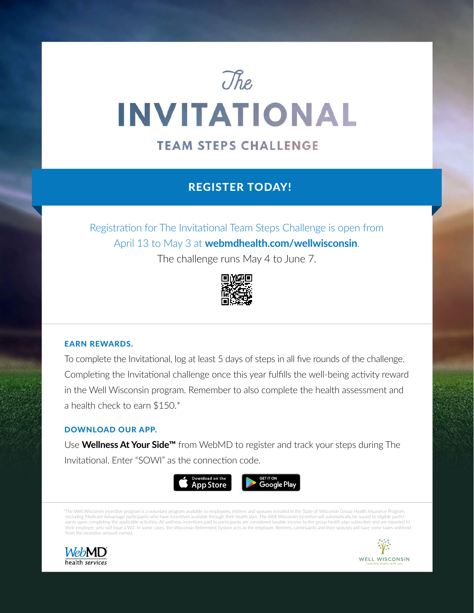# The **INVITATIONAL**

## **TEAM STEPS CHALLENGE**

## REGISTER TODAY!

Registration for The Invitational Team Steps Challenge is open from April 13 to May 3 at **[webmdhealth.com/wellwisconsin](https://www.webmdhealth.com/wellwisconsin/)**.

The challenge runs May 4 to June 7.



## EARN REWARDS.

To complete the Invitational, log at least 5 days of steps in all five rounds of the challenge. Completing the Invitational challenge once this year fulfills the well-being activity reward in the Well Wisconsin program. Remember to also complete the health assessment and a health check to earn \$150.\*

#### DOWNLOAD OUR APP.

Use **Wellness At Your Side™** from WebMD to register and track your steps during The Invitational. Enter "SOWI" as the connection code.



\*The Well Wisconsin incentive program is a voluntary program available to employees, retirees and spouses enrolled in the State of Wisconsin Group Health Insurance Program, excluding Medicare Advantage participants who have incentives available through their health plan. The Well Wisconsin incentive will automatically be issued to eligible partici pants upon completing the applicable activities. All wellness incentives paid to participants are considered taxable income to the group health plan subscriber and are reported to their employer, who will issue a W2. In some cases, the Wisconsin Retirement System acts as the employer. Retirees, continuants and their spouses will have some taxes withheld from the incentive amount earned.